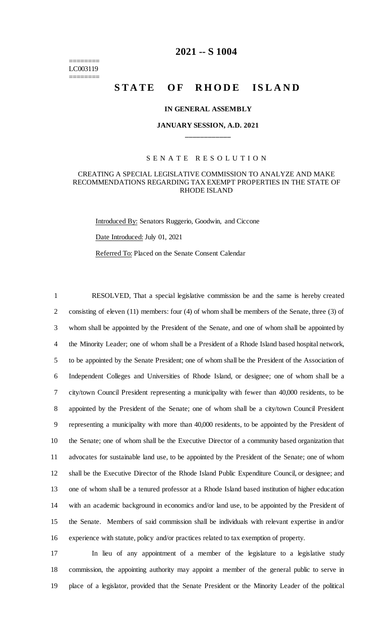#### ======== LC003119 ========

# **2021 -- S 1004**

# **STATE OF RHODE ISLAND**

#### **IN GENERAL ASSEMBLY**

# **JANUARY SESSION, A.D. 2021 \_\_\_\_\_\_\_\_\_\_\_\_**

#### S E N A T E R E S O L U T I O N

#### CREATING A SPECIAL LEGISLATIVE COMMISSION TO ANALYZE AND MAKE RECOMMENDATIONS REGARDING TAX EXEMPT PROPERTIES IN THE STATE OF RHODE ISLAND

Introduced By: Senators Ruggerio, Goodwin, and Ciccone

Date Introduced: July 01, 2021

Referred To: Placed on the Senate Consent Calendar

 RESOLVED, That a special legislative commission be and the same is hereby created 2 consisting of eleven (11) members: four (4) of whom shall be members of the Senate, three (3) of whom shall be appointed by the President of the Senate, and one of whom shall be appointed by the Minority Leader; one of whom shall be a President of a Rhode Island based hospital network, to be appointed by the Senate President; one of whom shall be the President of the Association of Independent Colleges and Universities of Rhode Island, or designee; one of whom shall be a city/town Council President representing a municipality with fewer than 40,000 residents, to be appointed by the President of the Senate; one of whom shall be a city/town Council President representing a municipality with more than 40,000 residents, to be appointed by the President of the Senate; one of whom shall be the Executive Director of a community based organization that advocates for sustainable land use, to be appointed by the President of the Senate; one of whom shall be the Executive Director of the Rhode Island Public Expenditure Council, or designee; and one of whom shall be a tenured professor at a Rhode Island based institution of higher education with an academic background in economics and/or land use, to be appointed by the President of the Senate. Members of said commission shall be individuals with relevant expertise in and/or experience with statute, policy and/or practices related to tax exemption of property.

17 In lieu of any appointment of a member of the legislature to a legislative study 18 commission, the appointing authority may appoint a member of the general public to serve in 19 place of a legislator, provided that the Senate President or the Minority Leader of the political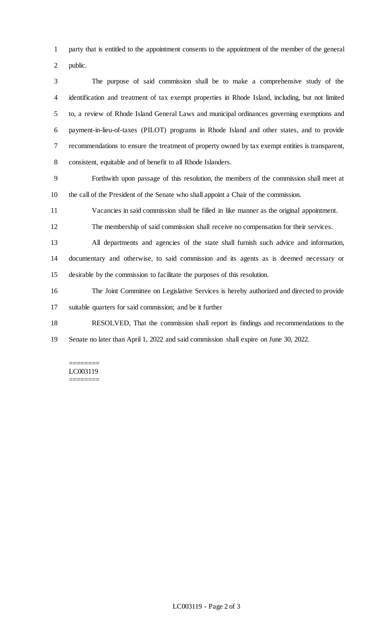party that is entitled to the appointment consents to the appointment of the member of the general public.

 The purpose of said commission shall be to make a comprehensive study of the identification and treatment of tax exempt properties in Rhode Island, including, but not limited to, a review of Rhode Island General Laws and municipal ordinances governing exemptions and payment-in-lieu-of-taxes (PILOT) programs in Rhode Island and other states, and to provide recommendations to ensure the treatment of property owned by tax exempt entities is transparent, consistent, equitable and of benefit to all Rhode Islanders.

 Forthwith upon passage of this resolution, the members of the commission shall meet at the call of the President of the Senate who shall appoint a Chair of the commission.

Vacancies in said commission shall be filled in like manner as the original appointment.

The membership of said commission shall receive no compensation for their services.

 All departments and agencies of the state shall furnish such advice and information, documentary and otherwise, to said commission and its agents as is deemed necessary or desirable by the commission to facilitate the purposes of this resolution.

 The Joint Committee on Legislative Services is hereby authorized and directed to provide suitable quarters for said commission; and be it further

RESOLVED, That the commission shall report its findings and recommendations to the

Senate no later than April 1, 2022 and said commission shall expire on June 30, 2022.

======== LC003119 ========